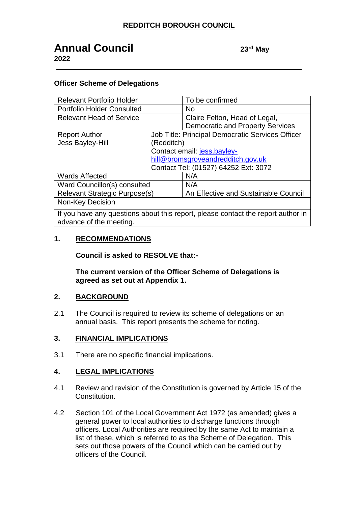# **Annual Council <sup>23</sup> 2022**

23<sup>rd</sup> May

#### **Officer Scheme of Delegations**

| <b>Relevant Portfolio Holder</b>                                                 |                                      | To be confirmed                                  |
|----------------------------------------------------------------------------------|--------------------------------------|--------------------------------------------------|
| <b>Portfolio Holder Consulted</b>                                                |                                      | N <sub>o</sub>                                   |
| <b>Relevant Head of Service</b>                                                  |                                      | Claire Felton, Head of Legal,                    |
|                                                                                  |                                      | <b>Democratic and Property Services</b>          |
| <b>Report Author</b>                                                             |                                      | Job Title: Principal Democratic Services Officer |
| <b>Jess Bayley-Hill</b>                                                          | (Redditch)                           |                                                  |
|                                                                                  | Contact email: jess.bayley-          |                                                  |
|                                                                                  | hill@bromsgroveandredditch.gov.uk    |                                                  |
|                                                                                  | Contact Tel: (01527) 64252 Ext: 3072 |                                                  |
| <b>Wards Affected</b>                                                            |                                      | N/A                                              |
| Ward Councillor(s) consulted                                                     |                                      | N/A                                              |
| Relevant Strategic Purpose(s)                                                    |                                      | An Effective and Sustainable Council             |
| Non-Key Decision                                                                 |                                      |                                                  |
| If you have any questions about this report, please contact the report author in |                                      |                                                  |

advance of the meeting.

#### **1. RECOMMENDATIONS**

**Council is asked to RESOLVE that:-**

**The current version of the Officer Scheme of Delegations is agreed as set out at Appendix 1.**

#### **2. BACKGROUND**

2.1 The Council is required to review its scheme of delegations on an annual basis. This report presents the scheme for noting.

#### **3. FINANCIAL IMPLICATIONS**

3.1 There are no specific financial implications.

#### **4. LEGAL IMPLICATIONS**

- 4.1 Review and revision of the Constitution is governed by Article 15 of the Constitution.
- 4.2 Section 101 of the Local Government Act 1972 (as amended) gives a general power to local authorities to discharge functions through officers. Local Authorities are required by the same Act to maintain a list of these, which is referred to as the Scheme of Delegation. This sets out those powers of the Council which can be carried out by officers of the Council.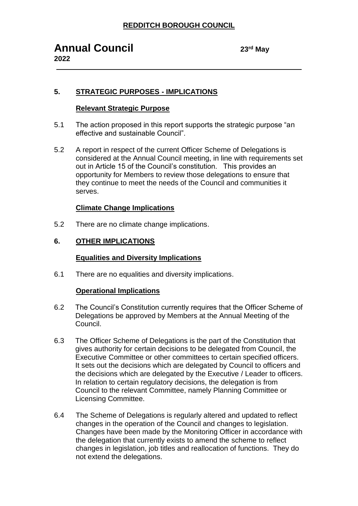23<sup>rd</sup> May

# **5. STRATEGIC PURPOSES - IMPLICATIONS**

#### **Relevant Strategic Purpose**

- 5.1 The action proposed in this report supports the strategic purpose "an effective and sustainable Council".
- 5.2 A report in respect of the current Officer Scheme of Delegations is considered at the Annual Council meeting, in line with requirements set out in Article 15 of the Council's constitution. This provides an opportunity for Members to review those delegations to ensure that they continue to meet the needs of the Council and communities it serves.

#### **Climate Change Implications**

5.2 There are no climate change implications.

## **6. OTHER IMPLICATIONS**

### **Equalities and Diversity Implications**

6.1 There are no equalities and diversity implications.

#### **Operational Implications**

- 6.2 The Council's Constitution currently requires that the Officer Scheme of Delegations be approved by Members at the Annual Meeting of the Council.
- 6.3 The Officer Scheme of Delegations is the part of the Constitution that gives authority for certain decisions to be delegated from Council, the Executive Committee or other committees to certain specified officers. It sets out the decisions which are delegated by Council to officers and the decisions which are delegated by the Executive / Leader to officers. In relation to certain regulatory decisions, the delegation is from Council to the relevant Committee, namely Planning Committee or Licensing Committee.
- 6.4 The Scheme of Delegations is regularly altered and updated to reflect changes in the operation of the Council and changes to legislation. Changes have been made by the Monitoring Officer in accordance with the delegation that currently exists to amend the scheme to reflect changes in legislation, job titles and reallocation of functions. They do not extend the delegations.